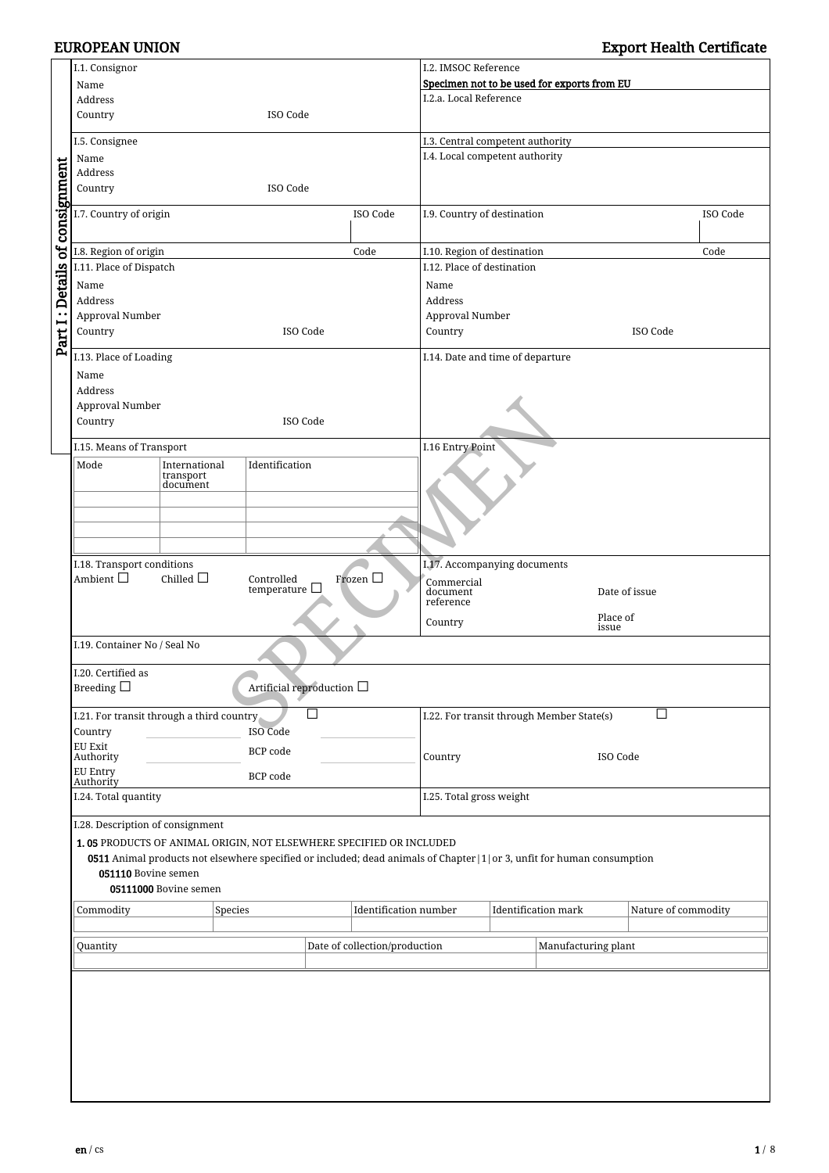# EUROPEAN UNION Export Health Certificate

|                                                                     | I.1. Consignor                                                                                                                   |                       |                 |                                |                               | I.2. IMSOC Reference                      |                                                      |                            |                     |          |
|---------------------------------------------------------------------|----------------------------------------------------------------------------------------------------------------------------------|-----------------------|-----------------|--------------------------------|-------------------------------|-------------------------------------------|------------------------------------------------------|----------------------------|---------------------|----------|
|                                                                     | Name                                                                                                                             |                       |                 |                                |                               |                                           | Specimen not to be used for exports from EU          |                            |                     |          |
|                                                                     | Address                                                                                                                          |                       |                 |                                |                               | I.2.a. Local Reference                    |                                                      |                            |                     |          |
|                                                                     | Country<br>ISO Code                                                                                                              |                       |                 |                                |                               |                                           |                                                      |                            |                     |          |
|                                                                     |                                                                                                                                  |                       |                 |                                |                               |                                           |                                                      |                            |                     |          |
|                                                                     | I.5. Consignee                                                                                                                   |                       |                 |                                |                               | I.3. Central competent authority          |                                                      |                            |                     |          |
|                                                                     | Name                                                                                                                             |                       |                 |                                |                               | I.4. Local competent authority            |                                                      |                            |                     |          |
|                                                                     | Address                                                                                                                          |                       |                 |                                |                               |                                           |                                                      |                            |                     |          |
|                                                                     | Country                                                                                                                          |                       |                 | ISO Code                       |                               |                                           |                                                      |                            |                     |          |
|                                                                     | I.7. Country of origin                                                                                                           |                       |                 |                                | ISO Code                      | I.9. Country of destination               |                                                      |                            |                     | ISO Code |
|                                                                     |                                                                                                                                  |                       |                 |                                |                               |                                           |                                                      |                            |                     |          |
| Part I: Details of consignment                                      | I.8. Region of origin                                                                                                            |                       |                 |                                | Code                          | I.10. Region of destination               |                                                      |                            |                     | Code     |
|                                                                     | I.11. Place of Dispatch                                                                                                          |                       |                 |                                |                               | I.12. Place of destination                |                                                      |                            |                     |          |
|                                                                     | Name                                                                                                                             |                       |                 |                                |                               | Name                                      |                                                      |                            |                     |          |
|                                                                     | Address                                                                                                                          |                       |                 |                                |                               | Address                                   |                                                      |                            |                     |          |
|                                                                     | Approval Number                                                                                                                  |                       |                 |                                |                               | Approval Number                           |                                                      |                            |                     |          |
|                                                                     | Country                                                                                                                          |                       |                 | ISO Code                       |                               | Country                                   |                                                      |                            | ISO Code            |          |
|                                                                     |                                                                                                                                  |                       |                 |                                |                               |                                           |                                                      |                            |                     |          |
|                                                                     | I.13. Place of Loading                                                                                                           |                       |                 |                                |                               | I.14. Date and time of departure          |                                                      |                            |                     |          |
|                                                                     | Name                                                                                                                             |                       |                 |                                |                               |                                           |                                                      |                            |                     |          |
|                                                                     | Address                                                                                                                          |                       |                 |                                |                               |                                           |                                                      |                            |                     |          |
|                                                                     | Approval Number                                                                                                                  |                       |                 |                                |                               |                                           |                                                      |                            |                     |          |
|                                                                     | Country                                                                                                                          |                       |                 | ISO Code                       |                               |                                           |                                                      |                            |                     |          |
|                                                                     | I.15. Means of Transport                                                                                                         |                       |                 |                                |                               | I.16 Entry Point                          |                                                      |                            |                     |          |
|                                                                     |                                                                                                                                  | International         | Identification  |                                |                               |                                           |                                                      |                            |                     |          |
|                                                                     | Mode                                                                                                                             | transport             |                 |                                |                               |                                           |                                                      |                            |                     |          |
|                                                                     |                                                                                                                                  | document              |                 |                                |                               |                                           |                                                      |                            |                     |          |
|                                                                     |                                                                                                                                  |                       |                 |                                |                               |                                           |                                                      |                            |                     |          |
|                                                                     |                                                                                                                                  |                       |                 |                                |                               |                                           |                                                      |                            |                     |          |
|                                                                     |                                                                                                                                  |                       |                 |                                |                               |                                           |                                                      |                            |                     |          |
|                                                                     | I.18. Transport conditions<br>Chilled $\Box$<br>Ambient $\Box$<br>Controlled<br>Frozen $\Box$<br>temperature $\square$           |                       |                 |                                |                               |                                           |                                                      |                            |                     |          |
|                                                                     |                                                                                                                                  |                       |                 |                                |                               |                                           | I.17. Accompanying documents                         |                            |                     |          |
|                                                                     |                                                                                                                                  |                       |                 |                                |                               |                                           | Commercial<br>document<br>Date of issue<br>reference |                            |                     |          |
|                                                                     |                                                                                                                                  |                       |                 |                                |                               |                                           |                                                      |                            |                     |          |
|                                                                     |                                                                                                                                  |                       |                 | Country                        |                               | Place of<br>issue                         |                                                      |                            |                     |          |
|                                                                     | I.19. Container No / Seal No                                                                                                     |                       |                 |                                |                               |                                           |                                                      |                            |                     |          |
|                                                                     |                                                                                                                                  |                       |                 |                                |                               |                                           |                                                      |                            |                     |          |
|                                                                     | I.20. Certified as                                                                                                               |                       |                 |                                |                               |                                           |                                                      |                            |                     |          |
|                                                                     | Breeding $\square$                                                                                                               |                       |                 | Artificial reproduction $\Box$ |                               |                                           |                                                      |                            |                     |          |
|                                                                     |                                                                                                                                  |                       |                 | □                              |                               | Ш                                         |                                                      |                            |                     |          |
|                                                                     | I.21. For transit through a third country                                                                                        |                       | <b>ISO Code</b> |                                |                               | I.22. For transit through Member State(s) |                                                      |                            |                     |          |
|                                                                     | Country<br>EU Exit                                                                                                               |                       |                 |                                |                               |                                           |                                                      |                            |                     |          |
|                                                                     | Authority                                                                                                                        |                       | <b>BCP</b> code |                                |                               | ISO Code<br>Country                       |                                                      |                            |                     |          |
|                                                                     | EU Entry                                                                                                                         |                       | BCP code        |                                |                               |                                           |                                                      |                            |                     |          |
|                                                                     | Authority                                                                                                                        |                       |                 |                                |                               |                                           |                                                      |                            |                     |          |
|                                                                     | I.24. Total quantity                                                                                                             |                       |                 |                                |                               |                                           | I.25. Total gross weight                             |                            |                     |          |
|                                                                     | I.28. Description of consignment                                                                                                 |                       |                 |                                |                               |                                           |                                                      |                            |                     |          |
| 1.05 PRODUCTS OF ANIMAL ORIGIN, NOT ELSEWHERE SPECIFIED OR INCLUDED |                                                                                                                                  |                       |                 |                                |                               |                                           |                                                      |                            |                     |          |
|                                                                     | <b>0511</b> Animal products not elsewhere specified or included; dead animals of Chapter   1   or 3, unfit for human consumption |                       |                 |                                |                               |                                           |                                                      |                            |                     |          |
|                                                                     | 051110 Bovine semen                                                                                                              |                       |                 |                                |                               |                                           |                                                      |                            |                     |          |
|                                                                     |                                                                                                                                  | 05111000 Bovine semen |                 |                                |                               |                                           |                                                      |                            |                     |          |
|                                                                     | Commodity                                                                                                                        |                       | Species         |                                | Identification number         |                                           |                                                      | <b>Identification mark</b> | Nature of commodity |          |
|                                                                     |                                                                                                                                  |                       |                 |                                |                               |                                           |                                                      |                            |                     |          |
|                                                                     | Quantity                                                                                                                         |                       |                 |                                | Date of collection/production |                                           |                                                      | Manufacturing plant        |                     |          |
|                                                                     |                                                                                                                                  |                       |                 |                                |                               |                                           |                                                      |                            |                     |          |
|                                                                     |                                                                                                                                  |                       |                 |                                |                               |                                           |                                                      |                            |                     |          |
|                                                                     |                                                                                                                                  |                       |                 |                                |                               |                                           |                                                      |                            |                     |          |
|                                                                     |                                                                                                                                  |                       |                 |                                |                               |                                           |                                                      |                            |                     |          |
|                                                                     |                                                                                                                                  |                       |                 |                                |                               |                                           |                                                      |                            |                     |          |
|                                                                     |                                                                                                                                  |                       |                 |                                |                               |                                           |                                                      |                            |                     |          |
|                                                                     |                                                                                                                                  |                       |                 |                                |                               |                                           |                                                      |                            |                     |          |
|                                                                     |                                                                                                                                  |                       |                 |                                |                               |                                           |                                                      |                            |                     |          |
|                                                                     |                                                                                                                                  |                       |                 |                                |                               |                                           |                                                      |                            |                     |          |
|                                                                     |                                                                                                                                  |                       |                 |                                |                               |                                           |                                                      |                            |                     |          |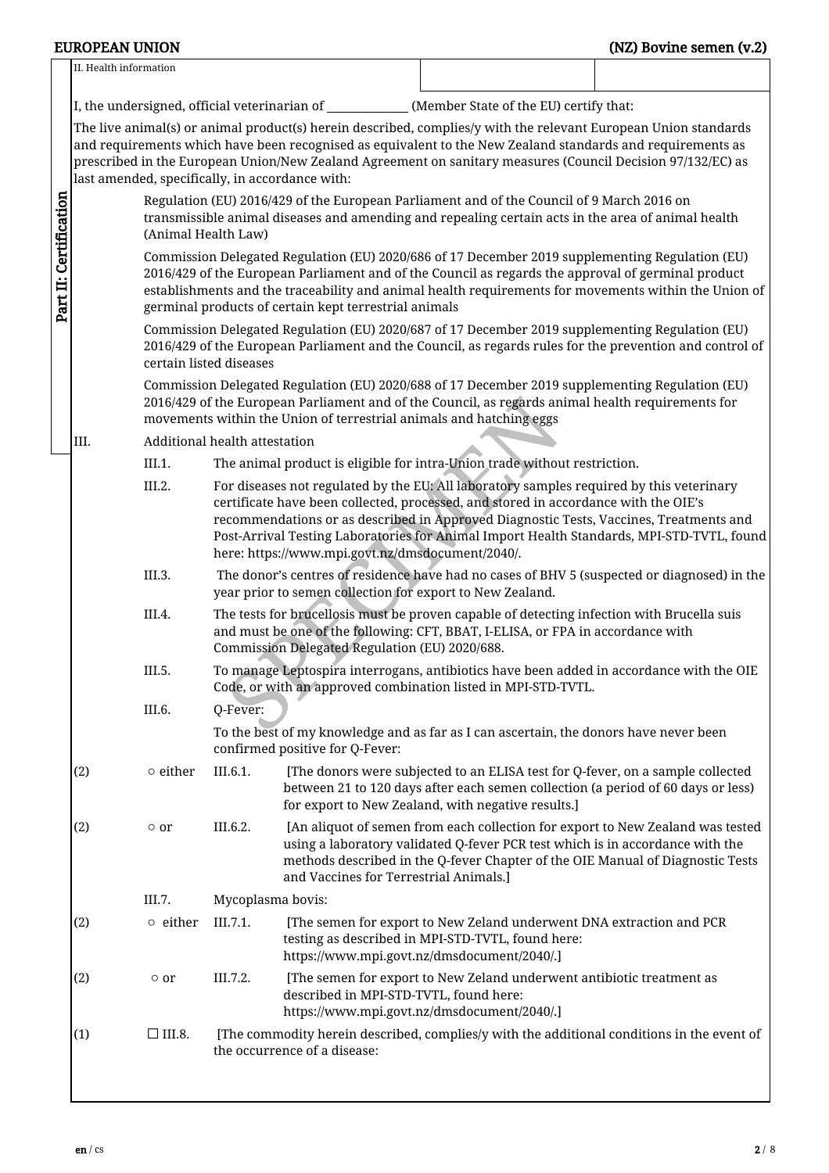## EUROPEAN UNION (NZ) Bovine semen (v.2)

|                                                                                                                                                                                                   | II. Health information                                                                                                                                                                                                                                                                                                                                                 |                         |                                                                                                                                                                                                                                                                             |                                                           |                                                                                                                                                                                                                                                                                                                                                                        |  |  |  |  |
|---------------------------------------------------------------------------------------------------------------------------------------------------------------------------------------------------|------------------------------------------------------------------------------------------------------------------------------------------------------------------------------------------------------------------------------------------------------------------------------------------------------------------------------------------------------------------------|-------------------------|-----------------------------------------------------------------------------------------------------------------------------------------------------------------------------------------------------------------------------------------------------------------------------|-----------------------------------------------------------|------------------------------------------------------------------------------------------------------------------------------------------------------------------------------------------------------------------------------------------------------------------------------------------------------------------------------------------------------------------------|--|--|--|--|
|                                                                                                                                                                                                   |                                                                                                                                                                                                                                                                                                                                                                        |                         |                                                                                                                                                                                                                                                                             |                                                           | I, the undersigned, official veterinarian of _____________(Member State of the EU) certify that:                                                                                                                                                                                                                                                                       |  |  |  |  |
|                                                                                                                                                                                                   |                                                                                                                                                                                                                                                                                                                                                                        |                         |                                                                                                                                                                                                                                                                             | last amended, specifically, in accordance with:           | The live animal(s) or animal product(s) herein described, complies/y with the relevant European Union standards<br>and requirements which have been recognised as equivalent to the New Zealand standards and requirements as<br>prescribed in the European Union/New Zealand Agreement on sanitary measures (Council Decision 97/132/EC) as                           |  |  |  |  |
|                                                                                                                                                                                                   |                                                                                                                                                                                                                                                                                                                                                                        | (Animal Health Law)     |                                                                                                                                                                                                                                                                             |                                                           | Regulation (EU) 2016/429 of the European Parliament and of the Council of 9 March 2016 on<br>transmissible animal diseases and amending and repealing certain acts in the area of animal health                                                                                                                                                                        |  |  |  |  |
| Part II: Certification                                                                                                                                                                            | Commission Delegated Regulation (EU) 2020/686 of 17 December 2019 supplementing Regulation (EU)<br>2016/429 of the European Parliament and of the Council as regards the approval of germinal product<br>establishments and the traceability and animal health requirements for movements within the Union of<br>germinal products of certain kept terrestrial animals |                         |                                                                                                                                                                                                                                                                             |                                                           |                                                                                                                                                                                                                                                                                                                                                                        |  |  |  |  |
|                                                                                                                                                                                                   |                                                                                                                                                                                                                                                                                                                                                                        | certain listed diseases |                                                                                                                                                                                                                                                                             |                                                           | Commission Delegated Regulation (EU) 2020/687 of 17 December 2019 supplementing Regulation (EU)<br>2016/429 of the European Parliament and the Council, as regards rules for the prevention and control of                                                                                                                                                             |  |  |  |  |
|                                                                                                                                                                                                   |                                                                                                                                                                                                                                                                                                                                                                        |                         | Commission Delegated Regulation (EU) 2020/688 of 17 December 2019 supplementing Regulation (EU)<br>2016/429 of the European Parliament and of the Council, as regards animal health requirements for<br>movements within the Union of terrestrial animals and hatching eggs |                                                           |                                                                                                                                                                                                                                                                                                                                                                        |  |  |  |  |
|                                                                                                                                                                                                   | III.                                                                                                                                                                                                                                                                                                                                                                   |                         | Additional health attestation                                                                                                                                                                                                                                               |                                                           |                                                                                                                                                                                                                                                                                                                                                                        |  |  |  |  |
|                                                                                                                                                                                                   |                                                                                                                                                                                                                                                                                                                                                                        | III.1.                  |                                                                                                                                                                                                                                                                             |                                                           | The animal product is eligible for intra-Union trade without restriction.                                                                                                                                                                                                                                                                                              |  |  |  |  |
|                                                                                                                                                                                                   |                                                                                                                                                                                                                                                                                                                                                                        | III.2.                  |                                                                                                                                                                                                                                                                             | here: https://www.mpi.govt.nz/dmsdocument/2040/.          | For diseases not regulated by the EU: All laboratory samples required by this veterinary<br>certificate have been collected, processed, and stored in accordance with the OIE's<br>recommendations or as described in Approved Diagnostic Tests, Vaccines, Treatments and<br>Post-Arrival Testing Laboratories for Animal Import Health Standards, MPI-STD-TVTL, found |  |  |  |  |
|                                                                                                                                                                                                   |                                                                                                                                                                                                                                                                                                                                                                        | III.3.                  |                                                                                                                                                                                                                                                                             | year prior to semen collection for export to New Zealand. | The donor's centres of residence have had no cases of BHV 5 (suspected or diagnosed) in the                                                                                                                                                                                                                                                                            |  |  |  |  |
|                                                                                                                                                                                                   |                                                                                                                                                                                                                                                                                                                                                                        | III.4.                  |                                                                                                                                                                                                                                                                             | Commission Delegated Regulation (EU) 2020/688.            | The tests for brucellosis must be proven capable of detecting infection with Brucella suis<br>and must be one of the following: CFT, BBAT, I-ELISA, or FPA in accordance with                                                                                                                                                                                          |  |  |  |  |
|                                                                                                                                                                                                   |                                                                                                                                                                                                                                                                                                                                                                        | III.5.                  |                                                                                                                                                                                                                                                                             |                                                           | To manage Leptospira interrogans, antibiotics have been added in accordance with the OIE<br>Code, or with an approved combination listed in MPI-STD-TVTL.                                                                                                                                                                                                              |  |  |  |  |
|                                                                                                                                                                                                   |                                                                                                                                                                                                                                                                                                                                                                        | III.6.                  | Q-Fever:<br>To the best of my knowledge and as far as I can ascertain, the donors have never been<br>confirmed positive for Q-Fever:                                                                                                                                        |                                                           |                                                                                                                                                                                                                                                                                                                                                                        |  |  |  |  |
|                                                                                                                                                                                                   | (2)                                                                                                                                                                                                                                                                                                                                                                    | $\circ$ either          | III.6.1.                                                                                                                                                                                                                                                                    |                                                           | [The donors were subjected to an ELISA test for Q-fever, on a sample collected<br>between 21 to 120 days after each semen collection (a period of 60 days or less)<br>for export to New Zealand, with negative results.]                                                                                                                                               |  |  |  |  |
|                                                                                                                                                                                                   | (2)                                                                                                                                                                                                                                                                                                                                                                    | $\circ$ or              | III.6.2.                                                                                                                                                                                                                                                                    | and Vaccines for Terrestrial Animals.]                    | [An aliquot of semen from each collection for export to New Zealand was tested<br>using a laboratory validated Q-fever PCR test which is in accordance with the<br>methods described in the Q-fever Chapter of the OIE Manual of Diagnostic Tests                                                                                                                      |  |  |  |  |
|                                                                                                                                                                                                   |                                                                                                                                                                                                                                                                                                                                                                        | III.7.                  | Mycoplasma bovis:                                                                                                                                                                                                                                                           |                                                           |                                                                                                                                                                                                                                                                                                                                                                        |  |  |  |  |
|                                                                                                                                                                                                   | (2)                                                                                                                                                                                                                                                                                                                                                                    | $\circ$ either          | III.7.1.                                                                                                                                                                                                                                                                    |                                                           | [The semen for export to New Zeland underwent DNA extraction and PCR<br>testing as described in MPI-STD-TVTL, found here:<br>https://www.mpi.govt.nz/dmsdocument/2040/.]                                                                                                                                                                                               |  |  |  |  |
|                                                                                                                                                                                                   | (2)                                                                                                                                                                                                                                                                                                                                                                    | $\circ$ or              | III.7.2.                                                                                                                                                                                                                                                                    | described in MPI-STD-TVTL, found here:                    | [The semen for export to New Zeland underwent antibiotic treatment as                                                                                                                                                                                                                                                                                                  |  |  |  |  |
| https://www.mpi.govt.nz/dmsdocument/2040/.]<br>(1)<br>$\Box$ III.8.<br>[The commodity herein described, complies/y with the additional conditions in the event of<br>the occurrence of a disease: |                                                                                                                                                                                                                                                                                                                                                                        |                         |                                                                                                                                                                                                                                                                             |                                                           |                                                                                                                                                                                                                                                                                                                                                                        |  |  |  |  |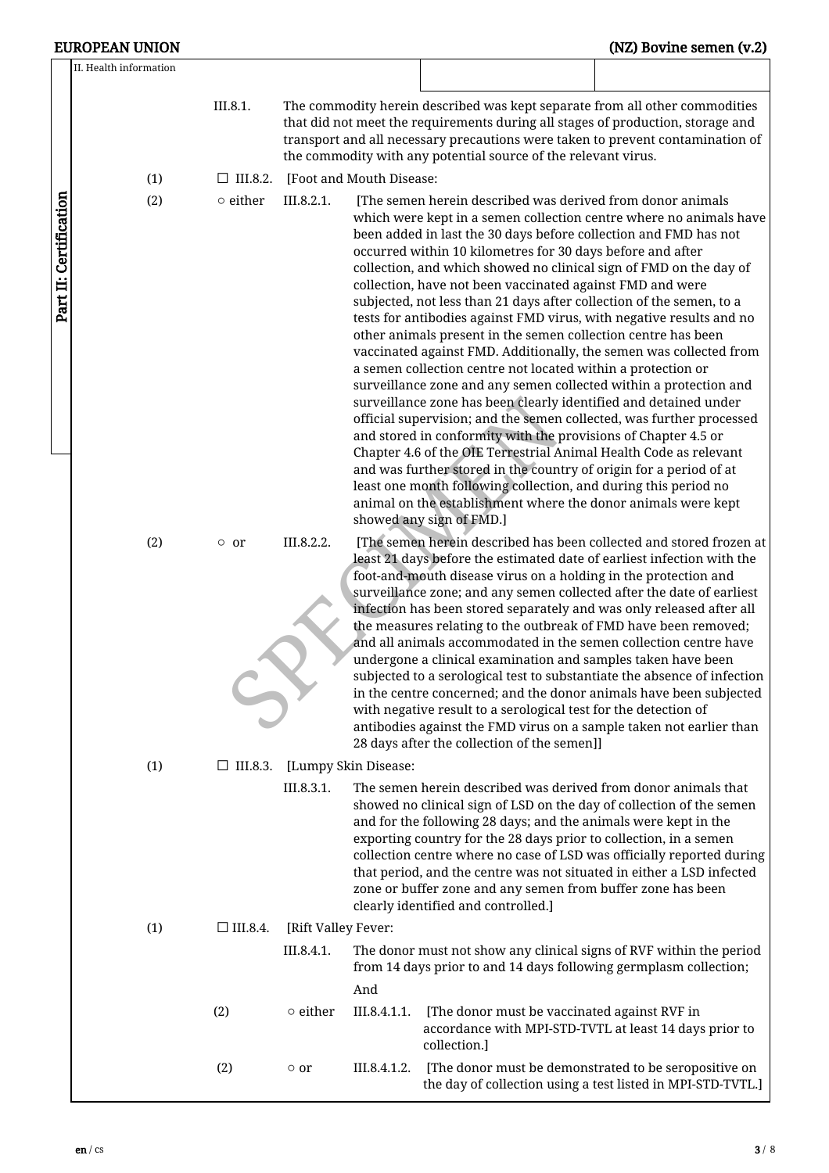|                        | <b>EUROPEAN UNION</b>  |                    |                     |                          |                                                                                                                                                                                                                                                                                                                                                                                                                                                                                                                                                                                                                                                                                                                                                                                                                                                                                                                                                                                                                                                                                                                                                                                                                                                                                                                                                            | (NZ) Bovine semen (v.2)                                             |
|------------------------|------------------------|--------------------|---------------------|--------------------------|------------------------------------------------------------------------------------------------------------------------------------------------------------------------------------------------------------------------------------------------------------------------------------------------------------------------------------------------------------------------------------------------------------------------------------------------------------------------------------------------------------------------------------------------------------------------------------------------------------------------------------------------------------------------------------------------------------------------------------------------------------------------------------------------------------------------------------------------------------------------------------------------------------------------------------------------------------------------------------------------------------------------------------------------------------------------------------------------------------------------------------------------------------------------------------------------------------------------------------------------------------------------------------------------------------------------------------------------------------|---------------------------------------------------------------------|
|                        | II. Health information |                    |                     |                          |                                                                                                                                                                                                                                                                                                                                                                                                                                                                                                                                                                                                                                                                                                                                                                                                                                                                                                                                                                                                                                                                                                                                                                                                                                                                                                                                                            |                                                                     |
|                        |                        | III.8.1.           |                     |                          | The commodity herein described was kept separate from all other commodities<br>that did not meet the requirements during all stages of production, storage and<br>transport and all necessary precautions were taken to prevent contamination of<br>the commodity with any potential source of the relevant virus.                                                                                                                                                                                                                                                                                                                                                                                                                                                                                                                                                                                                                                                                                                                                                                                                                                                                                                                                                                                                                                         |                                                                     |
|                        | (1)                    | $\Box$ III.8.2.    |                     | [Foot and Mouth Disease: |                                                                                                                                                                                                                                                                                                                                                                                                                                                                                                                                                                                                                                                                                                                                                                                                                                                                                                                                                                                                                                                                                                                                                                                                                                                                                                                                                            |                                                                     |
| Part II: Certification | (2)                    | $\circ$ either     | III.8.2.1.          |                          | [The semen herein described was derived from donor animals<br>which were kept in a semen collection centre where no animals have<br>been added in last the 30 days before collection and FMD has not<br>occurred within 10 kilometres for 30 days before and after<br>collection, and which showed no clinical sign of FMD on the day of<br>collection, have not been vaccinated against FMD and were<br>subjected, not less than 21 days after collection of the semen, to a<br>tests for antibodies against FMD virus, with negative results and no<br>other animals present in the semen collection centre has been<br>vaccinated against FMD. Additionally, the semen was collected from<br>a semen collection centre not located within a protection or<br>surveillance zone and any semen collected within a protection and<br>surveillance zone has been clearly identified and detained under<br>official supervision; and the semen collected, was further processed<br>and stored in conformity with the provisions of Chapter 4.5 or<br>Chapter 4.6 of the OIE Terrestrial Animal Health Code as relevant<br>and was further stored in the country of origin for a period of at<br>least one month following collection, and during this period no<br>animal on the establishment where the donor animals were kept<br>showed any sign of FMD.] |                                                                     |
|                        | (2)                    | $\circ$ or         | III.8.2.2.          |                          | least 21 days before the estimated date of earliest infection with the<br>foot-and-mouth disease virus on a holding in the protection and<br>surveillance zone; and any semen collected after the date of earliest<br>infection has been stored separately and was only released after all<br>the measures relating to the outbreak of FMD have been removed;<br>and all animals accommodated in the semen collection centre have<br>undergone a clinical examination and samples taken have been<br>subjected to a serological test to substantiate the absence of infection<br>in the centre concerned; and the donor animals have been subjected<br>with negative result to a serological test for the detection of<br>antibodies against the FMD virus on a sample taken not earlier than<br>28 days after the collection of the semen]]                                                                                                                                                                                                                                                                                                                                                                                                                                                                                                               | [The semen herein described has been collected and stored frozen at |
|                        | (1)                    | $\square$ III.8.3. |                     | [Lumpy Skin Disease:     |                                                                                                                                                                                                                                                                                                                                                                                                                                                                                                                                                                                                                                                                                                                                                                                                                                                                                                                                                                                                                                                                                                                                                                                                                                                                                                                                                            |                                                                     |
|                        |                        |                    | III.8.3.1.          |                          | The semen herein described was derived from donor animals that<br>showed no clinical sign of LSD on the day of collection of the semen<br>and for the following 28 days; and the animals were kept in the<br>exporting country for the 28 days prior to collection, in a semen<br>collection centre where no case of LSD was officially reported during<br>that period, and the centre was not situated in either a LSD infected<br>zone or buffer zone and any semen from buffer zone has been<br>clearly identified and controlled.]                                                                                                                                                                                                                                                                                                                                                                                                                                                                                                                                                                                                                                                                                                                                                                                                                     |                                                                     |
|                        | (1)                    | $\Box$ III.8.4.    | [Rift Valley Fever: |                          |                                                                                                                                                                                                                                                                                                                                                                                                                                                                                                                                                                                                                                                                                                                                                                                                                                                                                                                                                                                                                                                                                                                                                                                                                                                                                                                                                            |                                                                     |
|                        |                        |                    | III.8.4.1.          |                          | The donor must not show any clinical signs of RVF within the period<br>from 14 days prior to and 14 days following germplasm collection;                                                                                                                                                                                                                                                                                                                                                                                                                                                                                                                                                                                                                                                                                                                                                                                                                                                                                                                                                                                                                                                                                                                                                                                                                   |                                                                     |
|                        |                        |                    |                     | And                      |                                                                                                                                                                                                                                                                                                                                                                                                                                                                                                                                                                                                                                                                                                                                                                                                                                                                                                                                                                                                                                                                                                                                                                                                                                                                                                                                                            |                                                                     |
|                        |                        | (2)                | $\circ$ either      | III.8.4.1.1.             | [The donor must be vaccinated against RVF in<br>accordance with MPI-STD-TVTL at least 14 days prior to<br>collection.]                                                                                                                                                                                                                                                                                                                                                                                                                                                                                                                                                                                                                                                                                                                                                                                                                                                                                                                                                                                                                                                                                                                                                                                                                                     |                                                                     |
|                        |                        | (2)                | $\circ$ or          | III.8.4.1.2.             | [The donor must be demonstrated to be seropositive on                                                                                                                                                                                                                                                                                                                                                                                                                                                                                                                                                                                                                                                                                                                                                                                                                                                                                                                                                                                                                                                                                                                                                                                                                                                                                                      | the day of collection using a test listed in MPI-STD-TVTL.]         |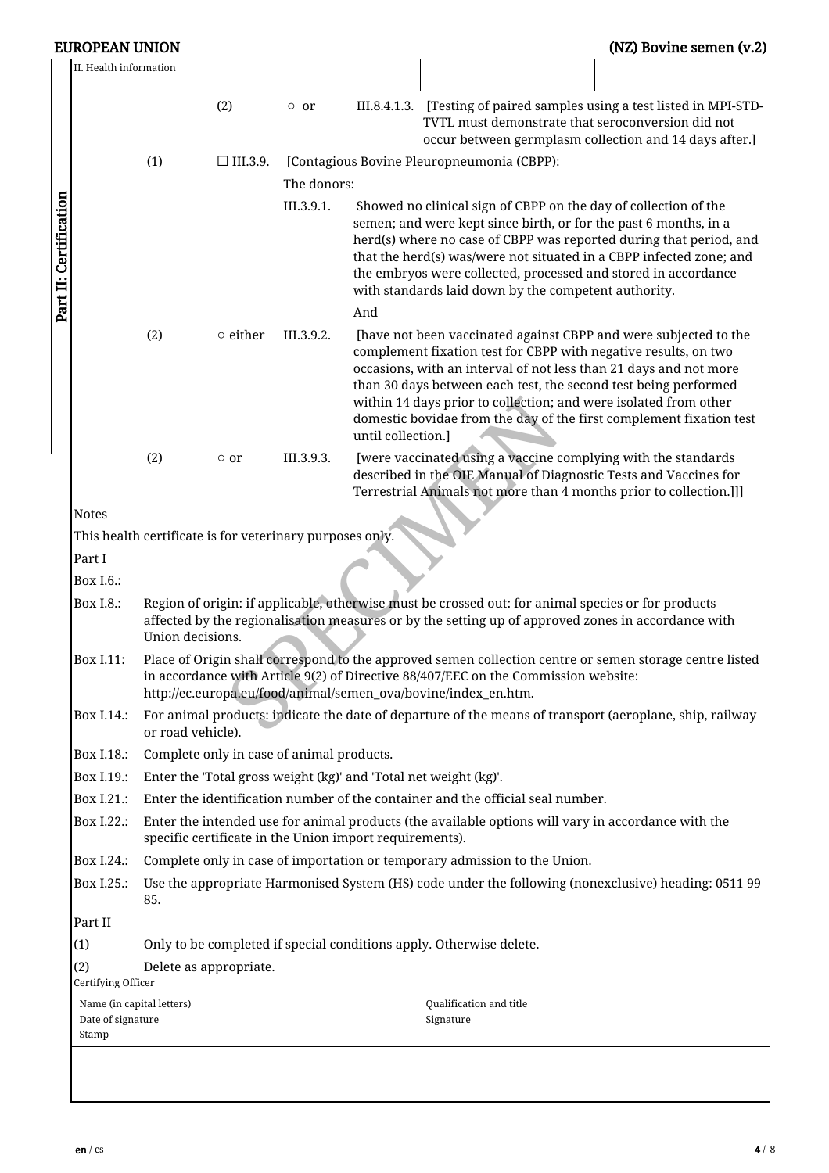|                                                                                                                                                                                                                       | (1) | (2)<br>$\Box$ III.3.9.                                                      | $\circ$ or                                              |                                                                                                                                                                                                                                                                                                                                                                                                            | III.8.4.1.3. [Testing of paired samples using a test listed in MPI-STD-<br>TVTL must demonstrate that seroconversion did not |                                                                                                                                                                                                                                                                                                                                                                                                                                                                                                                                                                                                                                                                                                                                                                                                                                                                                                                                                                                                                                                                                                                                                                                                                                                                                                                                                                                                                                                                                                                  |  |  |  |
|-----------------------------------------------------------------------------------------------------------------------------------------------------------------------------------------------------------------------|-----|-----------------------------------------------------------------------------|---------------------------------------------------------|------------------------------------------------------------------------------------------------------------------------------------------------------------------------------------------------------------------------------------------------------------------------------------------------------------------------------------------------------------------------------------------------------------|------------------------------------------------------------------------------------------------------------------------------|------------------------------------------------------------------------------------------------------------------------------------------------------------------------------------------------------------------------------------------------------------------------------------------------------------------------------------------------------------------------------------------------------------------------------------------------------------------------------------------------------------------------------------------------------------------------------------------------------------------------------------------------------------------------------------------------------------------------------------------------------------------------------------------------------------------------------------------------------------------------------------------------------------------------------------------------------------------------------------------------------------------------------------------------------------------------------------------------------------------------------------------------------------------------------------------------------------------------------------------------------------------------------------------------------------------------------------------------------------------------------------------------------------------------------------------------------------------------------------------------------------------|--|--|--|
|                                                                                                                                                                                                                       |     |                                                                             |                                                         |                                                                                                                                                                                                                                                                                                                                                                                                            |                                                                                                                              | occur between germplasm collection and 14 days after.]                                                                                                                                                                                                                                                                                                                                                                                                                                                                                                                                                                                                                                                                                                                                                                                                                                                                                                                                                                                                                                                                                                                                                                                                                                                                                                                                                                                                                                                           |  |  |  |
|                                                                                                                                                                                                                       |     |                                                                             |                                                         |                                                                                                                                                                                                                                                                                                                                                                                                            | [Contagious Bovine Pleuropneumonia (CBPP):                                                                                   |                                                                                                                                                                                                                                                                                                                                                                                                                                                                                                                                                                                                                                                                                                                                                                                                                                                                                                                                                                                                                                                                                                                                                                                                                                                                                                                                                                                                                                                                                                                  |  |  |  |
|                                                                                                                                                                                                                       |     |                                                                             | The donors:                                             |                                                                                                                                                                                                                                                                                                                                                                                                            |                                                                                                                              |                                                                                                                                                                                                                                                                                                                                                                                                                                                                                                                                                                                                                                                                                                                                                                                                                                                                                                                                                                                                                                                                                                                                                                                                                                                                                                                                                                                                                                                                                                                  |  |  |  |
|                                                                                                                                                                                                                       |     |                                                                             | III.3.9.1.                                              | Showed no clinical sign of CBPP on the day of collection of the<br>semen; and were kept since birth, or for the past 6 months, in a<br>herd(s) where no case of CBPP was reported during that period, and<br>that the herd(s) was/were not situated in a CBPP infected zone; and<br>the embryos were collected, processed and stored in accordance<br>with standards laid down by the competent authority. |                                                                                                                              |                                                                                                                                                                                                                                                                                                                                                                                                                                                                                                                                                                                                                                                                                                                                                                                                                                                                                                                                                                                                                                                                                                                                                                                                                                                                                                                                                                                                                                                                                                                  |  |  |  |
|                                                                                                                                                                                                                       |     |                                                                             |                                                         | And                                                                                                                                                                                                                                                                                                                                                                                                        |                                                                                                                              |                                                                                                                                                                                                                                                                                                                                                                                                                                                                                                                                                                                                                                                                                                                                                                                                                                                                                                                                                                                                                                                                                                                                                                                                                                                                                                                                                                                                                                                                                                                  |  |  |  |
|                                                                                                                                                                                                                       |     |                                                                             |                                                         |                                                                                                                                                                                                                                                                                                                                                                                                            |                                                                                                                              |                                                                                                                                                                                                                                                                                                                                                                                                                                                                                                                                                                                                                                                                                                                                                                                                                                                                                                                                                                                                                                                                                                                                                                                                                                                                                                                                                                                                                                                                                                                  |  |  |  |
|                                                                                                                                                                                                                       | (2) | $\circ$ or                                                                  | III.3.9.3.                                              |                                                                                                                                                                                                                                                                                                                                                                                                            |                                                                                                                              |                                                                                                                                                                                                                                                                                                                                                                                                                                                                                                                                                                                                                                                                                                                                                                                                                                                                                                                                                                                                                                                                                                                                                                                                                                                                                                                                                                                                                                                                                                                  |  |  |  |
| <b>Notes</b>                                                                                                                                                                                                          |     |                                                                             |                                                         |                                                                                                                                                                                                                                                                                                                                                                                                            |                                                                                                                              |                                                                                                                                                                                                                                                                                                                                                                                                                                                                                                                                                                                                                                                                                                                                                                                                                                                                                                                                                                                                                                                                                                                                                                                                                                                                                                                                                                                                                                                                                                                  |  |  |  |
|                                                                                                                                                                                                                       |     |                                                                             |                                                         |                                                                                                                                                                                                                                                                                                                                                                                                            |                                                                                                                              |                                                                                                                                                                                                                                                                                                                                                                                                                                                                                                                                                                                                                                                                                                                                                                                                                                                                                                                                                                                                                                                                                                                                                                                                                                                                                                                                                                                                                                                                                                                  |  |  |  |
| Part I                                                                                                                                                                                                                |     |                                                                             |                                                         |                                                                                                                                                                                                                                                                                                                                                                                                            |                                                                                                                              |                                                                                                                                                                                                                                                                                                                                                                                                                                                                                                                                                                                                                                                                                                                                                                                                                                                                                                                                                                                                                                                                                                                                                                                                                                                                                                                                                                                                                                                                                                                  |  |  |  |
| Box I.6.:                                                                                                                                                                                                             |     |                                                                             |                                                         |                                                                                                                                                                                                                                                                                                                                                                                                            |                                                                                                                              |                                                                                                                                                                                                                                                                                                                                                                                                                                                                                                                                                                                                                                                                                                                                                                                                                                                                                                                                                                                                                                                                                                                                                                                                                                                                                                                                                                                                                                                                                                                  |  |  |  |
| Region of origin: if applicable, otherwise must be crossed out: for animal species or for products<br>Box I.8.:<br>affected by the regionalisation measures or by the setting up of approved zones in accordance with |     |                                                                             |                                                         |                                                                                                                                                                                                                                                                                                                                                                                                            |                                                                                                                              |                                                                                                                                                                                                                                                                                                                                                                                                                                                                                                                                                                                                                                                                                                                                                                                                                                                                                                                                                                                                                                                                                                                                                                                                                                                                                                                                                                                                                                                                                                                  |  |  |  |
| Box I.11:                                                                                                                                                                                                             |     |                                                                             |                                                         |                                                                                                                                                                                                                                                                                                                                                                                                            |                                                                                                                              |                                                                                                                                                                                                                                                                                                                                                                                                                                                                                                                                                                                                                                                                                                                                                                                                                                                                                                                                                                                                                                                                                                                                                                                                                                                                                                                                                                                                                                                                                                                  |  |  |  |
| Box I.14.:                                                                                                                                                                                                            |     |                                                                             |                                                         |                                                                                                                                                                                                                                                                                                                                                                                                            |                                                                                                                              |                                                                                                                                                                                                                                                                                                                                                                                                                                                                                                                                                                                                                                                                                                                                                                                                                                                                                                                                                                                                                                                                                                                                                                                                                                                                                                                                                                                                                                                                                                                  |  |  |  |
| Box I.18.:                                                                                                                                                                                                            |     |                                                                             |                                                         |                                                                                                                                                                                                                                                                                                                                                                                                            |                                                                                                                              |                                                                                                                                                                                                                                                                                                                                                                                                                                                                                                                                                                                                                                                                                                                                                                                                                                                                                                                                                                                                                                                                                                                                                                                                                                                                                                                                                                                                                                                                                                                  |  |  |  |
| Box I.19.:                                                                                                                                                                                                            |     |                                                                             |                                                         |                                                                                                                                                                                                                                                                                                                                                                                                            |                                                                                                                              |                                                                                                                                                                                                                                                                                                                                                                                                                                                                                                                                                                                                                                                                                                                                                                                                                                                                                                                                                                                                                                                                                                                                                                                                                                                                                                                                                                                                                                                                                                                  |  |  |  |
| Box I.21.:                                                                                                                                                                                                            |     |                                                                             |                                                         |                                                                                                                                                                                                                                                                                                                                                                                                            |                                                                                                                              |                                                                                                                                                                                                                                                                                                                                                                                                                                                                                                                                                                                                                                                                                                                                                                                                                                                                                                                                                                                                                                                                                                                                                                                                                                                                                                                                                                                                                                                                                                                  |  |  |  |
| Box I.22.:                                                                                                                                                                                                            |     |                                                                             |                                                         |                                                                                                                                                                                                                                                                                                                                                                                                            |                                                                                                                              |                                                                                                                                                                                                                                                                                                                                                                                                                                                                                                                                                                                                                                                                                                                                                                                                                                                                                                                                                                                                                                                                                                                                                                                                                                                                                                                                                                                                                                                                                                                  |  |  |  |
| Box I.24.:                                                                                                                                                                                                            |     |                                                                             |                                                         |                                                                                                                                                                                                                                                                                                                                                                                                            |                                                                                                                              |                                                                                                                                                                                                                                                                                                                                                                                                                                                                                                                                                                                                                                                                                                                                                                                                                                                                                                                                                                                                                                                                                                                                                                                                                                                                                                                                                                                                                                                                                                                  |  |  |  |
| Use the appropriate Harmonised System (HS) code under the following (nonexclusive) heading: 0511 99<br>Box I.25.:<br>85.                                                                                              |     |                                                                             |                                                         |                                                                                                                                                                                                                                                                                                                                                                                                            |                                                                                                                              |                                                                                                                                                                                                                                                                                                                                                                                                                                                                                                                                                                                                                                                                                                                                                                                                                                                                                                                                                                                                                                                                                                                                                                                                                                                                                                                                                                                                                                                                                                                  |  |  |  |
| Part II                                                                                                                                                                                                               |     |                                                                             |                                                         |                                                                                                                                                                                                                                                                                                                                                                                                            |                                                                                                                              |                                                                                                                                                                                                                                                                                                                                                                                                                                                                                                                                                                                                                                                                                                                                                                                                                                                                                                                                                                                                                                                                                                                                                                                                                                                                                                                                                                                                                                                                                                                  |  |  |  |
|                                                                                                                                                                                                                       |     |                                                                             |                                                         |                                                                                                                                                                                                                                                                                                                                                                                                            |                                                                                                                              |                                                                                                                                                                                                                                                                                                                                                                                                                                                                                                                                                                                                                                                                                                                                                                                                                                                                                                                                                                                                                                                                                                                                                                                                                                                                                                                                                                                                                                                                                                                  |  |  |  |
|                                                                                                                                                                                                                       |     |                                                                             |                                                         |                                                                                                                                                                                                                                                                                                                                                                                                            |                                                                                                                              |                                                                                                                                                                                                                                                                                                                                                                                                                                                                                                                                                                                                                                                                                                                                                                                                                                                                                                                                                                                                                                                                                                                                                                                                                                                                                                                                                                                                                                                                                                                  |  |  |  |
|                                                                                                                                                                                                                       |     |                                                                             |                                                         |                                                                                                                                                                                                                                                                                                                                                                                                            |                                                                                                                              |                                                                                                                                                                                                                                                                                                                                                                                                                                                                                                                                                                                                                                                                                                                                                                                                                                                                                                                                                                                                                                                                                                                                                                                                                                                                                                                                                                                                                                                                                                                  |  |  |  |
| Stamp                                                                                                                                                                                                                 |     |                                                                             |                                                         |                                                                                                                                                                                                                                                                                                                                                                                                            | Qualification and title<br>Signature                                                                                         |                                                                                                                                                                                                                                                                                                                                                                                                                                                                                                                                                                                                                                                                                                                                                                                                                                                                                                                                                                                                                                                                                                                                                                                                                                                                                                                                                                                                                                                                                                                  |  |  |  |
|                                                                                                                                                                                                                       |     | (2)<br>Certifying Officer<br>Name (in capital letters)<br>Date of signature | $\circ$ either<br>Union decisions.<br>or road vehicle). | III.3.9.2.<br>Delete as appropriate.                                                                                                                                                                                                                                                                                                                                                                       | This health certificate is for veterinary purposes only.<br>Complete only in case of animal products.                        | [have not been vaccinated against CBPP and were subjected to the<br>complement fixation test for CBPP with negative results, on two<br>occasions, with an interval of not less than 21 days and not more<br>than 30 days between each test, the second test being performed<br>within 14 days prior to collection; and were isolated from other<br>domestic bovidae from the day of the first complement fixation test<br>until collection.]<br>[were vaccinated using a vaccine complying with the standards<br>described in the OIE Manual of Diagnostic Tests and Vaccines for<br>Terrestrial Animals not more than 4 months prior to collection.]]]<br>Place of Origin shall correspond to the approved semen collection centre or semen storage centre listed<br>in accordance with Article 9(2) of Directive 88/407/EEC on the Commission website:<br>http://ec.europa.eu/food/animal/semen_ova/bovine/index_en.htm.<br>For animal products: indicate the date of departure of the means of transport (aeroplane, ship, railway<br>Enter the 'Total gross weight (kg)' and 'Total net weight (kg)'.<br>Enter the identification number of the container and the official seal number.<br>Enter the intended use for animal products (the available options will vary in accordance with the<br>specific certificate in the Union import requirements).<br>Complete only in case of importation or temporary admission to the Union.<br>Only to be completed if special conditions apply. Otherwise delete. |  |  |  |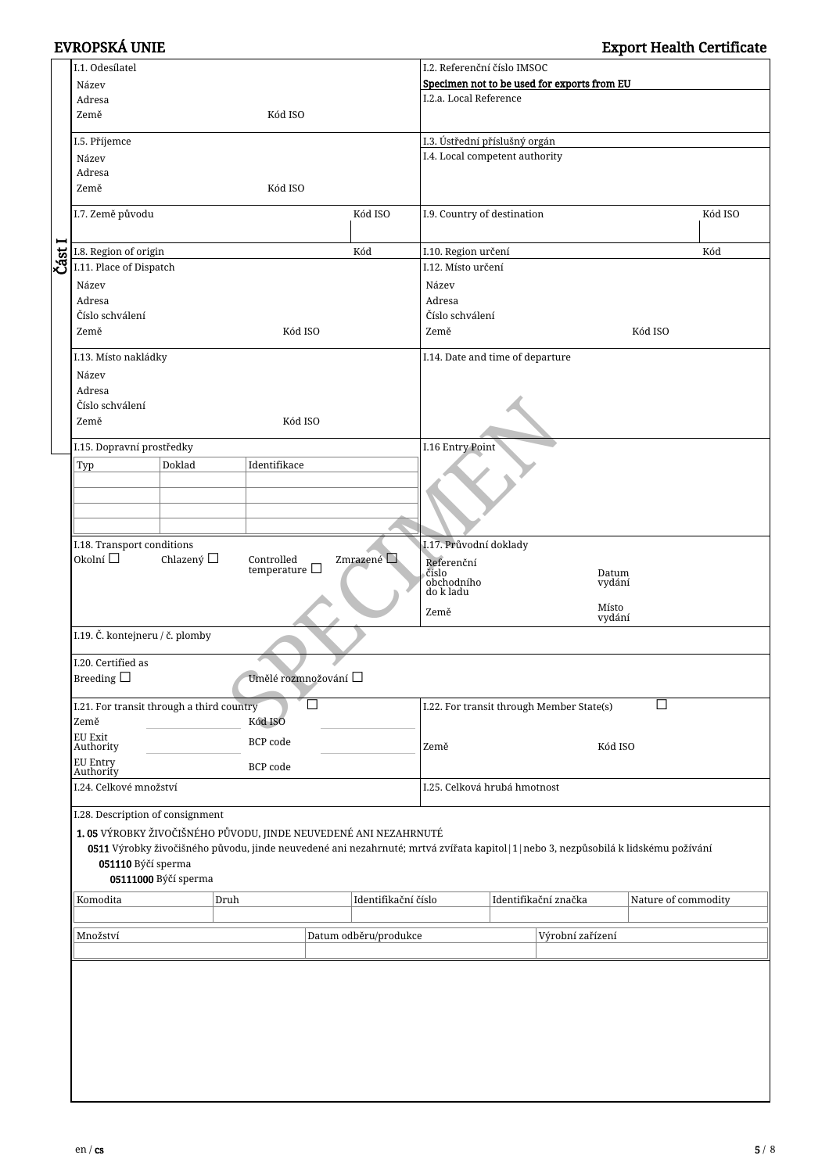|      | I.1. Odesílatel                                                 |                      |                       |                           |                                             | I.2. Referenční číslo IMSOC                                       |  |                                                                                                                                      |                     |  |
|------|-----------------------------------------------------------------|----------------------|-----------------------|---------------------------|---------------------------------------------|-------------------------------------------------------------------|--|--------------------------------------------------------------------------------------------------------------------------------------|---------------------|--|
|      | Název                                                           |                      |                       |                           | Specimen not to be used for exports from EU |                                                                   |  |                                                                                                                                      |                     |  |
|      | Adresa                                                          |                      |                       |                           |                                             | I.2.a. Local Reference                                            |  |                                                                                                                                      |                     |  |
|      | Země                                                            |                      | Kód ISO               |                           |                                             |                                                                   |  |                                                                                                                                      |                     |  |
|      |                                                                 |                      |                       |                           |                                             |                                                                   |  |                                                                                                                                      |                     |  |
|      | I.5. Příjemce                                                   |                      |                       |                           |                                             | I.3. Ústřední příslušný orgán                                     |  |                                                                                                                                      |                     |  |
|      | Název                                                           |                      |                       |                           |                                             | I.4. Local competent authority                                    |  |                                                                                                                                      |                     |  |
|      | Adresa                                                          |                      |                       |                           |                                             |                                                                   |  |                                                                                                                                      |                     |  |
|      | Země                                                            |                      | Kód ISO               |                           |                                             |                                                                   |  |                                                                                                                                      |                     |  |
|      |                                                                 |                      |                       |                           |                                             |                                                                   |  |                                                                                                                                      |                     |  |
|      | I.7. Země původu                                                |                      |                       |                           | Kód ISO                                     | I.9. Country of destination                                       |  |                                                                                                                                      | Kód ISO             |  |
|      |                                                                 |                      |                       |                           |                                             |                                                                   |  |                                                                                                                                      |                     |  |
| −    | I.8. Region of origin                                           |                      |                       |                           | Kód                                         | I.10. Region určení                                               |  |                                                                                                                                      | Kód                 |  |
| Část | I.11. Place of Dispatch                                         |                      |                       |                           |                                             | I.12. Místo určení                                                |  |                                                                                                                                      |                     |  |
|      | Název                                                           |                      |                       |                           |                                             | Název                                                             |  |                                                                                                                                      |                     |  |
|      | Adresa                                                          |                      |                       |                           |                                             | Adresa                                                            |  |                                                                                                                                      |                     |  |
|      |                                                                 |                      |                       |                           |                                             |                                                                   |  |                                                                                                                                      |                     |  |
|      | Číslo schválení                                                 |                      |                       |                           |                                             | Číslo schválení                                                   |  |                                                                                                                                      |                     |  |
|      | Země                                                            |                      |                       | Kód ISO                   |                                             | Země                                                              |  |                                                                                                                                      | Kód ISO             |  |
|      | I.13. Místo nakládky                                            |                      |                       |                           |                                             | I.14. Date and time of departure                                  |  |                                                                                                                                      |                     |  |
|      | Název                                                           |                      |                       |                           |                                             |                                                                   |  |                                                                                                                                      |                     |  |
|      |                                                                 |                      |                       |                           |                                             |                                                                   |  |                                                                                                                                      |                     |  |
|      | Adresa                                                          |                      |                       |                           |                                             |                                                                   |  |                                                                                                                                      |                     |  |
|      | Číslo schválení                                                 |                      |                       |                           |                                             |                                                                   |  |                                                                                                                                      |                     |  |
|      | Země                                                            |                      |                       | Kód ISO                   |                                             |                                                                   |  |                                                                                                                                      |                     |  |
|      | I.15. Dopravní prostředky                                       |                      |                       |                           |                                             | I.16 Entry Point                                                  |  |                                                                                                                                      |                     |  |
|      |                                                                 |                      |                       |                           |                                             |                                                                   |  |                                                                                                                                      |                     |  |
|      | Typ                                                             | Doklad               | Identifikace          |                           |                                             |                                                                   |  |                                                                                                                                      |                     |  |
|      |                                                                 |                      |                       |                           |                                             |                                                                   |  |                                                                                                                                      |                     |  |
|      |                                                                 |                      |                       |                           |                                             |                                                                   |  |                                                                                                                                      |                     |  |
|      |                                                                 |                      |                       |                           |                                             |                                                                   |  |                                                                                                                                      |                     |  |
|      |                                                                 |                      |                       |                           |                                             |                                                                   |  |                                                                                                                                      |                     |  |
|      | I.18. Transport conditions                                      |                      |                       |                           |                                             | I.17. Průvodní doklady                                            |  |                                                                                                                                      |                     |  |
|      | Okolní $\square$                                                | Chlazený □           | Controlled            |                           | Zmrazené Q                                  | Referenční<br>číslo<br>Datum<br>obchodního<br>vydání<br>do k ladu |  |                                                                                                                                      |                     |  |
|      |                                                                 |                      | temperature $\square$ |                           |                                             |                                                                   |  |                                                                                                                                      |                     |  |
|      |                                                                 |                      |                       |                           |                                             |                                                                   |  |                                                                                                                                      |                     |  |
|      |                                                                 |                      |                       |                           |                                             |                                                                   |  |                                                                                                                                      |                     |  |
|      |                                                                 |                      |                       |                           |                                             | Země                                                              |  | Místo<br>vydání                                                                                                                      |                     |  |
|      | I.19. Č. kontejneru / č. plomby                                 |                      |                       |                           |                                             |                                                                   |  |                                                                                                                                      |                     |  |
|      |                                                                 |                      |                       |                           |                                             |                                                                   |  |                                                                                                                                      |                     |  |
|      | I.20. Certified as                                              |                      |                       |                           |                                             |                                                                   |  |                                                                                                                                      |                     |  |
|      | Breeding $\Box$                                                 |                      |                       | Umělé rozmnožování $\Box$ |                                             |                                                                   |  |                                                                                                                                      |                     |  |
|      |                                                                 |                      |                       |                           |                                             |                                                                   |  |                                                                                                                                      |                     |  |
|      | I.21. For transit through a third country                       |                      |                       |                           |                                             |                                                                   |  | I.22. For transit through Member State(s)                                                                                            | П                   |  |
|      | Země                                                            |                      | Kód ISO               |                           |                                             |                                                                   |  |                                                                                                                                      |                     |  |
|      | <b>EU Exit</b>                                                  |                      |                       |                           |                                             |                                                                   |  |                                                                                                                                      |                     |  |
|      | Authority                                                       |                      | BCP code              |                           |                                             | Země                                                              |  | Kód ISO                                                                                                                              |                     |  |
|      | <b>EU Entry</b>                                                 |                      | BCP code              |                           |                                             |                                                                   |  |                                                                                                                                      |                     |  |
|      | Authority                                                       |                      |                       |                           |                                             |                                                                   |  |                                                                                                                                      |                     |  |
|      | I.24. Celkové množství                                          |                      |                       |                           |                                             | I.25. Celková hrubá hmotnost                                      |  |                                                                                                                                      |                     |  |
|      |                                                                 |                      |                       |                           |                                             |                                                                   |  |                                                                                                                                      |                     |  |
|      | I.28. Description of consignment                                |                      |                       |                           |                                             |                                                                   |  |                                                                                                                                      |                     |  |
|      | 1.05 VÝROBKY ŽIVOČIŠNÉHO PŮVODU, JINDE NEUVEDENÉ ANI NEZAHRNUTÉ |                      |                       |                           |                                             |                                                                   |  |                                                                                                                                      |                     |  |
|      |                                                                 |                      |                       |                           |                                             |                                                                   |  | 0511 Výrobky živočišného původu, jinde neuvedené ani nezahrnuté; mrtvá zvířata kapitol   1   nebo 3, nezpůsobilá k lidskému požívání |                     |  |
|      | 051110 Býčí sperma                                              |                      |                       |                           |                                             |                                                                   |  |                                                                                                                                      |                     |  |
|      |                                                                 | 05111000 Býčí sperma |                       |                           |                                             |                                                                   |  |                                                                                                                                      |                     |  |
|      | Komodita                                                        |                      | Druh                  |                           | Identifikační číslo                         |                                                                   |  | Identifikační značka                                                                                                                 | Nature of commodity |  |
|      |                                                                 |                      |                       |                           |                                             |                                                                   |  |                                                                                                                                      |                     |  |
|      |                                                                 |                      |                       |                           |                                             |                                                                   |  |                                                                                                                                      |                     |  |
|      | Množství                                                        |                      |                       |                           | Datum odběru/produkce                       |                                                                   |  | Výrobní zařízení                                                                                                                     |                     |  |
|      |                                                                 |                      |                       |                           |                                             |                                                                   |  |                                                                                                                                      |                     |  |
|      |                                                                 |                      |                       |                           |                                             |                                                                   |  |                                                                                                                                      |                     |  |
|      |                                                                 |                      |                       |                           |                                             |                                                                   |  |                                                                                                                                      |                     |  |
|      |                                                                 |                      |                       |                           |                                             |                                                                   |  |                                                                                                                                      |                     |  |
|      |                                                                 |                      |                       |                           |                                             |                                                                   |  |                                                                                                                                      |                     |  |
|      |                                                                 |                      |                       |                           |                                             |                                                                   |  |                                                                                                                                      |                     |  |
|      |                                                                 |                      |                       |                           |                                             |                                                                   |  |                                                                                                                                      |                     |  |
|      |                                                                 |                      |                       |                           |                                             |                                                                   |  |                                                                                                                                      |                     |  |
|      |                                                                 |                      |                       |                           |                                             |                                                                   |  |                                                                                                                                      |                     |  |
|      |                                                                 |                      |                       |                           |                                             |                                                                   |  |                                                                                                                                      |                     |  |
|      |                                                                 |                      |                       |                           |                                             |                                                                   |  |                                                                                                                                      |                     |  |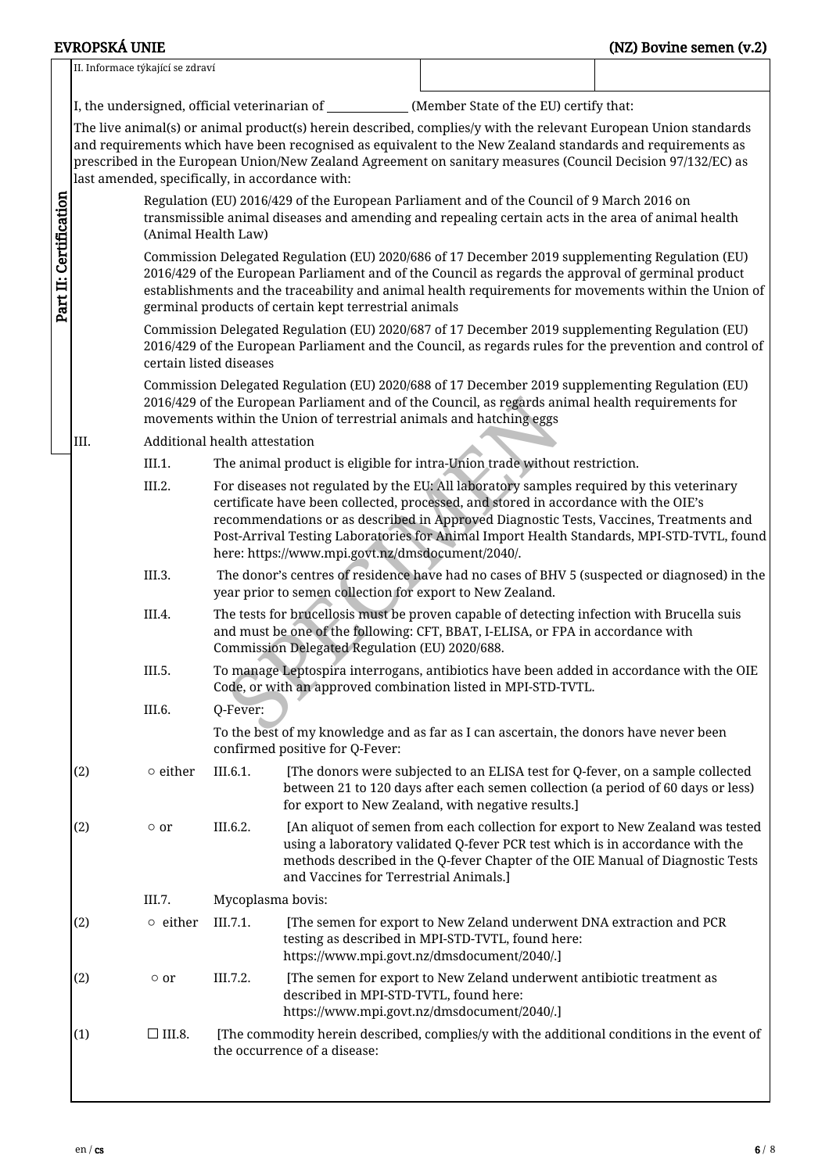|                                                                                                                                                       | II. Informace týkající se zdraví                                                                                                                                                                                                                                                                                                                                       |                                                                                                                                                                                                                                                                             |                               |                                                           |                                                                                                                                                                                                                                                                                                                                                                        |  |  |  |  |
|-------------------------------------------------------------------------------------------------------------------------------------------------------|------------------------------------------------------------------------------------------------------------------------------------------------------------------------------------------------------------------------------------------------------------------------------------------------------------------------------------------------------------------------|-----------------------------------------------------------------------------------------------------------------------------------------------------------------------------------------------------------------------------------------------------------------------------|-------------------------------|-----------------------------------------------------------|------------------------------------------------------------------------------------------------------------------------------------------------------------------------------------------------------------------------------------------------------------------------------------------------------------------------------------------------------------------------|--|--|--|--|
|                                                                                                                                                       |                                                                                                                                                                                                                                                                                                                                                                        |                                                                                                                                                                                                                                                                             |                               |                                                           | I, the undersigned, official veterinarian of _____________(Member State of the EU) certify that:                                                                                                                                                                                                                                                                       |  |  |  |  |
|                                                                                                                                                       |                                                                                                                                                                                                                                                                                                                                                                        |                                                                                                                                                                                                                                                                             |                               | last amended, specifically, in accordance with:           | The live animal(s) or animal product(s) herein described, complies/y with the relevant European Union standards<br>and requirements which have been recognised as equivalent to the New Zealand standards and requirements as<br>prescribed in the European Union/New Zealand Agreement on sanitary measures (Council Decision 97/132/EC) as                           |  |  |  |  |
|                                                                                                                                                       | Regulation (EU) 2016/429 of the European Parliament and of the Council of 9 March 2016 on<br>transmissible animal diseases and amending and repealing certain acts in the area of animal health<br>(Animal Health Law)                                                                                                                                                 |                                                                                                                                                                                                                                                                             |                               |                                                           |                                                                                                                                                                                                                                                                                                                                                                        |  |  |  |  |
| Part II: Certification                                                                                                                                | Commission Delegated Regulation (EU) 2020/686 of 17 December 2019 supplementing Regulation (EU)<br>2016/429 of the European Parliament and of the Council as regards the approval of germinal product<br>establishments and the traceability and animal health requirements for movements within the Union of<br>germinal products of certain kept terrestrial animals |                                                                                                                                                                                                                                                                             |                               |                                                           |                                                                                                                                                                                                                                                                                                                                                                        |  |  |  |  |
|                                                                                                                                                       |                                                                                                                                                                                                                                                                                                                                                                        | certain listed diseases                                                                                                                                                                                                                                                     |                               |                                                           | Commission Delegated Regulation (EU) 2020/687 of 17 December 2019 supplementing Regulation (EU)<br>2016/429 of the European Parliament and the Council, as regards rules for the prevention and control of                                                                                                                                                             |  |  |  |  |
|                                                                                                                                                       |                                                                                                                                                                                                                                                                                                                                                                        | Commission Delegated Regulation (EU) 2020/688 of 17 December 2019 supplementing Regulation (EU)<br>2016/429 of the European Parliament and of the Council, as regards animal health requirements for<br>movements within the Union of terrestrial animals and hatching eggs |                               |                                                           |                                                                                                                                                                                                                                                                                                                                                                        |  |  |  |  |
|                                                                                                                                                       | III.                                                                                                                                                                                                                                                                                                                                                                   |                                                                                                                                                                                                                                                                             | Additional health attestation |                                                           |                                                                                                                                                                                                                                                                                                                                                                        |  |  |  |  |
|                                                                                                                                                       |                                                                                                                                                                                                                                                                                                                                                                        | III.1.                                                                                                                                                                                                                                                                      |                               |                                                           | The animal product is eligible for intra-Union trade without restriction.                                                                                                                                                                                                                                                                                              |  |  |  |  |
|                                                                                                                                                       |                                                                                                                                                                                                                                                                                                                                                                        | III.2.                                                                                                                                                                                                                                                                      |                               | here: https://www.mpi.govt.nz/dmsdocument/2040/.          | For diseases not regulated by the EU: All laboratory samples required by this veterinary<br>certificate have been collected, processed, and stored in accordance with the OIE's<br>recommendations or as described in Approved Diagnostic Tests, Vaccines, Treatments and<br>Post-Arrival Testing Laboratories for Animal Import Health Standards, MPI-STD-TVTL, found |  |  |  |  |
|                                                                                                                                                       |                                                                                                                                                                                                                                                                                                                                                                        | III.3.                                                                                                                                                                                                                                                                      |                               | year prior to semen collection for export to New Zealand. | The donor's centres of residence have had no cases of BHV 5 (suspected or diagnosed) in the                                                                                                                                                                                                                                                                            |  |  |  |  |
|                                                                                                                                                       |                                                                                                                                                                                                                                                                                                                                                                        | III.4.                                                                                                                                                                                                                                                                      |                               | Commission Delegated Regulation (EU) 2020/688.            | The tests for brucellosis must be proven capable of detecting infection with Brucella suis<br>and must be one of the following: CFT, BBAT, I-ELISA, or FPA in accordance with                                                                                                                                                                                          |  |  |  |  |
|                                                                                                                                                       |                                                                                                                                                                                                                                                                                                                                                                        | III.5.                                                                                                                                                                                                                                                                      |                               |                                                           | To manage Leptospira interrogans, antibiotics have been added in accordance with the OIE<br>Code, or with an approved combination listed in MPI-STD-TVTL.                                                                                                                                                                                                              |  |  |  |  |
|                                                                                                                                                       |                                                                                                                                                                                                                                                                                                                                                                        | III.6.                                                                                                                                                                                                                                                                      | Q-Fever:                      |                                                           |                                                                                                                                                                                                                                                                                                                                                                        |  |  |  |  |
|                                                                                                                                                       |                                                                                                                                                                                                                                                                                                                                                                        |                                                                                                                                                                                                                                                                             |                               | confirmed positive for Q-Fever:                           | To the best of my knowledge and as far as I can ascertain, the donors have never been                                                                                                                                                                                                                                                                                  |  |  |  |  |
|                                                                                                                                                       | (2)                                                                                                                                                                                                                                                                                                                                                                    | $\circ$ either                                                                                                                                                                                                                                                              | III.6.1.                      |                                                           | [The donors were subjected to an ELISA test for Q-fever, on a sample collected<br>between 21 to 120 days after each semen collection (a period of 60 days or less)<br>for export to New Zealand, with negative results.]                                                                                                                                               |  |  |  |  |
|                                                                                                                                                       | (2)                                                                                                                                                                                                                                                                                                                                                                    | $\circ$ or                                                                                                                                                                                                                                                                  | III.6.2.                      | and Vaccines for Terrestrial Animals.]                    | [An aliquot of semen from each collection for export to New Zealand was tested<br>using a laboratory validated Q-fever PCR test which is in accordance with the<br>methods described in the Q-fever Chapter of the OIE Manual of Diagnostic Tests                                                                                                                      |  |  |  |  |
|                                                                                                                                                       |                                                                                                                                                                                                                                                                                                                                                                        | III.7.                                                                                                                                                                                                                                                                      | Mycoplasma bovis:             |                                                           |                                                                                                                                                                                                                                                                                                                                                                        |  |  |  |  |
|                                                                                                                                                       | (2)                                                                                                                                                                                                                                                                                                                                                                    | $\circ$ either                                                                                                                                                                                                                                                              | III.7.1.                      |                                                           | [The semen for export to New Zeland underwent DNA extraction and PCR<br>testing as described in MPI-STD-TVTL, found here:<br>https://www.mpi.govt.nz/dmsdocument/2040/.]                                                                                                                                                                                               |  |  |  |  |
|                                                                                                                                                       | (2)                                                                                                                                                                                                                                                                                                                                                                    | $\circ$ or                                                                                                                                                                                                                                                                  | III.7.2.                      | described in MPI-STD-TVTL, found here:                    | [The semen for export to New Zeland underwent antibiotic treatment as<br>https://www.mpi.govt.nz/dmsdocument/2040/.]                                                                                                                                                                                                                                                   |  |  |  |  |
| (1)<br>$\square$ III.8.<br>[The commodity herein described, complies/y with the additional conditions in the event of<br>the occurrence of a disease: |                                                                                                                                                                                                                                                                                                                                                                        |                                                                                                                                                                                                                                                                             |                               |                                                           |                                                                                                                                                                                                                                                                                                                                                                        |  |  |  |  |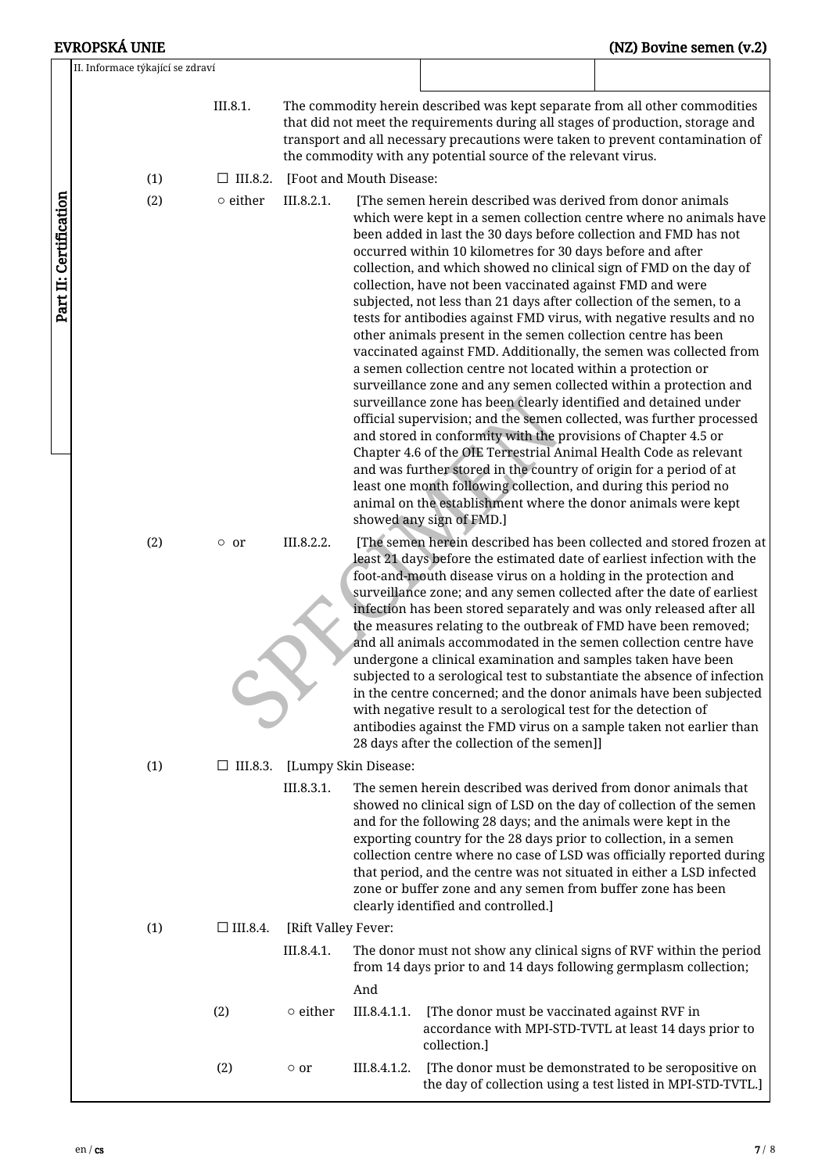|                        | EVROPSKÁ UNIE                    |                    |                                                                                                                                                                                                                                                                                                                                                                                                                                                               |                                                                       |                                                                                                                                                                                                                                                                                                                                                                                                                                                                                                                                                                                                                                                                                                                                                                                                                                                                                                                                                                                                                                                                                                                                                                                                                                                                                      | (NZ) Bovine semen (v.2)                                             |
|------------------------|----------------------------------|--------------------|---------------------------------------------------------------------------------------------------------------------------------------------------------------------------------------------------------------------------------------------------------------------------------------------------------------------------------------------------------------------------------------------------------------------------------------------------------------|-----------------------------------------------------------------------|--------------------------------------------------------------------------------------------------------------------------------------------------------------------------------------------------------------------------------------------------------------------------------------------------------------------------------------------------------------------------------------------------------------------------------------------------------------------------------------------------------------------------------------------------------------------------------------------------------------------------------------------------------------------------------------------------------------------------------------------------------------------------------------------------------------------------------------------------------------------------------------------------------------------------------------------------------------------------------------------------------------------------------------------------------------------------------------------------------------------------------------------------------------------------------------------------------------------------------------------------------------------------------------|---------------------------------------------------------------------|
|                        | II. Informace týkající se zdraví |                    |                                                                                                                                                                                                                                                                                                                                                                                                                                                               |                                                                       |                                                                                                                                                                                                                                                                                                                                                                                                                                                                                                                                                                                                                                                                                                                                                                                                                                                                                                                                                                                                                                                                                                                                                                                                                                                                                      |                                                                     |
|                        |                                  | III.8.1.           |                                                                                                                                                                                                                                                                                                                                                                                                                                                               |                                                                       | The commodity herein described was kept separate from all other commodities<br>that did not meet the requirements during all stages of production, storage and<br>transport and all necessary precautions were taken to prevent contamination of<br>the commodity with any potential source of the relevant virus.                                                                                                                                                                                                                                                                                                                                                                                                                                                                                                                                                                                                                                                                                                                                                                                                                                                                                                                                                                   |                                                                     |
|                        | (1)                              | $\Box$ III.8.2.    |                                                                                                                                                                                                                                                                                                                                                                                                                                                               | [Foot and Mouth Disease:                                              |                                                                                                                                                                                                                                                                                                                                                                                                                                                                                                                                                                                                                                                                                                                                                                                                                                                                                                                                                                                                                                                                                                                                                                                                                                                                                      |                                                                     |
| Part II: Certification | (2)                              | $\circ$ either     | III.8.2.1.                                                                                                                                                                                                                                                                                                                                                                                                                                                    |                                                                       | [The semen herein described was derived from donor animals<br>been added in last the 30 days before collection and FMD has not<br>occurred within 10 kilometres for 30 days before and after<br>collection, and which showed no clinical sign of FMD on the day of<br>collection, have not been vaccinated against FMD and were<br>subjected, not less than 21 days after collection of the semen, to a<br>tests for antibodies against FMD virus, with negative results and no<br>other animals present in the semen collection centre has been<br>vaccinated against FMD. Additionally, the semen was collected from<br>a semen collection centre not located within a protection or<br>surveillance zone and any semen collected within a protection and<br>surveillance zone has been clearly identified and detained under<br>official supervision; and the semen collected, was further processed<br>and stored in conformity with the provisions of Chapter 4.5 or<br>Chapter 4.6 of the OIE Terrestrial Animal Health Code as relevant<br>and was further stored in the country of origin for a period of at<br>least one month following collection, and during this period no<br>animal on the establishment where the donor animals were kept<br>showed any sign of FMD.] | which were kept in a semen collection centre where no animals have  |
|                        | (2)                              | $\circ$ or         | III.8.2.2.                                                                                                                                                                                                                                                                                                                                                                                                                                                    |                                                                       | least 21 days before the estimated date of earliest infection with the<br>foot-and-mouth disease virus on a holding in the protection and<br>surveillance zone; and any semen collected after the date of earliest<br>infection has been stored separately and was only released after all<br>the measures relating to the outbreak of FMD have been removed;<br>and all animals accommodated in the semen collection centre have<br>undergone a clinical examination and samples taken have been<br>subjected to a serological test to substantiate the absence of infection<br>in the centre concerned; and the donor animals have been subjected<br>with negative result to a serological test for the detection of<br>antibodies against the FMD virus on a sample taken not earlier than<br>28 days after the collection of the semen]]                                                                                                                                                                                                                                                                                                                                                                                                                                         | [The semen herein described has been collected and stored frozen at |
|                        | (1)                              | $\square$ III.8.3. |                                                                                                                                                                                                                                                                                                                                                                                                                                                               | [Lumpy Skin Disease:                                                  |                                                                                                                                                                                                                                                                                                                                                                                                                                                                                                                                                                                                                                                                                                                                                                                                                                                                                                                                                                                                                                                                                                                                                                                                                                                                                      |                                                                     |
|                        | III.8.3.1.                       |                    | The semen herein described was derived from donor animals that<br>showed no clinical sign of LSD on the day of collection of the semen<br>and for the following 28 days; and the animals were kept in the<br>exporting country for the 28 days prior to collection, in a semen<br>that period, and the centre was not situated in either a LSD infected<br>zone or buffer zone and any semen from buffer zone has been<br>clearly identified and controlled.] | collection centre where no case of LSD was officially reported during |                                                                                                                                                                                                                                                                                                                                                                                                                                                                                                                                                                                                                                                                                                                                                                                                                                                                                                                                                                                                                                                                                                                                                                                                                                                                                      |                                                                     |
|                        | (1)                              | $\Box$ III.8.4.    | [Rift Valley Fever:                                                                                                                                                                                                                                                                                                                                                                                                                                           |                                                                       |                                                                                                                                                                                                                                                                                                                                                                                                                                                                                                                                                                                                                                                                                                                                                                                                                                                                                                                                                                                                                                                                                                                                                                                                                                                                                      |                                                                     |
|                        |                                  |                    | III.8.4.1.                                                                                                                                                                                                                                                                                                                                                                                                                                                    |                                                                       | The donor must not show any clinical signs of RVF within the period<br>from 14 days prior to and 14 days following germplasm collection;                                                                                                                                                                                                                                                                                                                                                                                                                                                                                                                                                                                                                                                                                                                                                                                                                                                                                                                                                                                                                                                                                                                                             |                                                                     |
|                        |                                  | (2)                | $\circ$ either                                                                                                                                                                                                                                                                                                                                                                                                                                                | And<br>III.8.4.1.1.                                                   | [The donor must be vaccinated against RVF in<br>accordance with MPI-STD-TVTL at least 14 days prior to<br>collection.]                                                                                                                                                                                                                                                                                                                                                                                                                                                                                                                                                                                                                                                                                                                                                                                                                                                                                                                                                                                                                                                                                                                                                               |                                                                     |
|                        |                                  | (2)                | $\circ$ or                                                                                                                                                                                                                                                                                                                                                                                                                                                    | III.8.4.1.2.                                                          | [The donor must be demonstrated to be seropositive on                                                                                                                                                                                                                                                                                                                                                                                                                                                                                                                                                                                                                                                                                                                                                                                                                                                                                                                                                                                                                                                                                                                                                                                                                                | the day of collection using a test listed in MPI-STD-TVTL.]         |